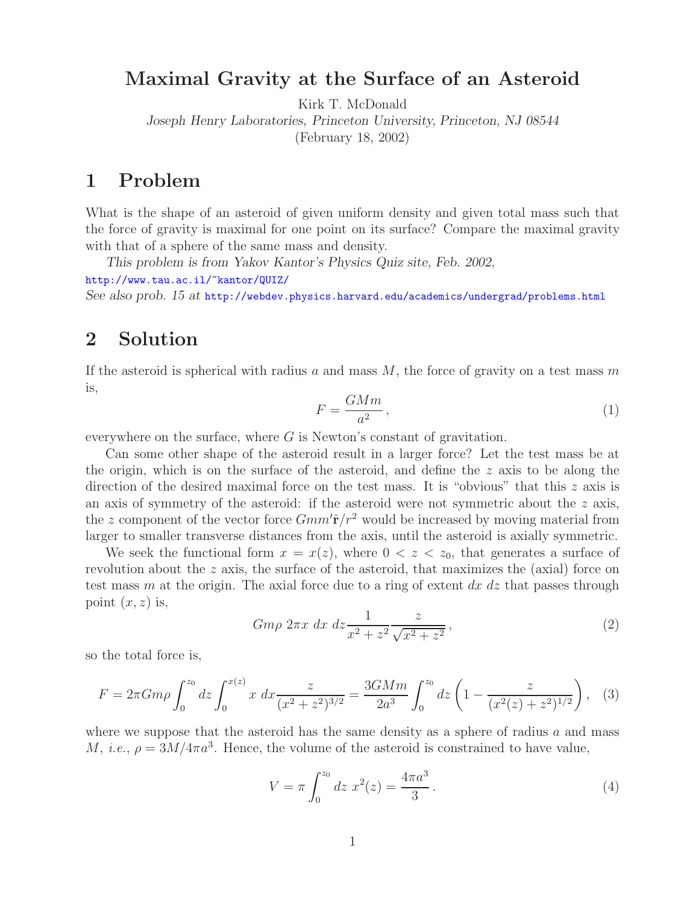# **Maximal Gravity at the Surface of an Asteroid**

Kirk T. McDonald

*Joseph Henry Laboratories, Princeton University, Princeton, NJ 08544*

(February 18, 2002)

## **1 Problem**

What is the shape of an asteroid of given uniform density and given total mass such that the force of gravity is maximal for one point on its surface? Compare the maximal gravity with that of a sphere of the same mass and density.

*This problem is from Yakov Kantor's Physics Quiz site, Feb. 2002,*

http://www.tau.ac.il/~kantor/QUIZ/ *See also prob. 15 at* http://webdev.physics.harvard.edu/academics/undergrad/problems.html

# **2 Solution**

If the asteroid is spherical with radius a and mass  $M$ , the force of gravity on a test mass m is,

$$
F = \frac{GMm}{a^2},\tag{1}
$$

everywhere on the surface, where  $G$  is Newton's constant of gravitation.

Can some other shape of the asteroid result in a larger force? Let the test mass be at the origin, which is on the surface of the asteroid, and define the  $z$  axis to be along the direction of the desired maximal force on the test mass. It is "obvious" that this  $z$  axis is an axis of symmetry of the asteroid: if the asteroid were not symmetric about the  $z$  axis, the z component of the vector force  $Gmm'\hat{\mathbf{r}}/r^2$  would be increased by moving material from larger to smaller transverse distances from the axis, until the asteroid is axially symmetric.

We seek the functional form  $x = x(z)$ , where  $0 < z < z_0$ , that generates a surface of revolution about the z axis, the surface of the asteroid, that maximizes the (axial) force on test mass m at the origin. The axial force due to a ring of extent  $dx\,dz$  that passes through point  $(x, z)$  is,

$$
Gm\rho \ 2\pi x \ dx \ dz \frac{1}{x^2 + z^2} \frac{z}{\sqrt{x^2 + z^2}},\tag{2}
$$

so the total force is,

$$
F = 2\pi G m \rho \int_0^{z_0} dz \int_0^{x(z)} x \, dx \frac{z}{(x^2 + z^2)^{3/2}} = \frac{3GMm}{2a^3} \int_0^{z_0} dz \left(1 - \frac{z}{(x^2(z) + z^2)^{1/2}}\right), \tag{3}
$$

where we suppose that the asteroid has the same density as a sphere of radius  $a$  and mass M, *i.e.*,  $\rho = 3M/4\pi a^3$ . Hence, the volume of the asteroid is constrained to have value,

$$
V = \pi \int_0^{z_0} dz \ x^2(z) = \frac{4\pi a^3}{3}.
$$
 (4)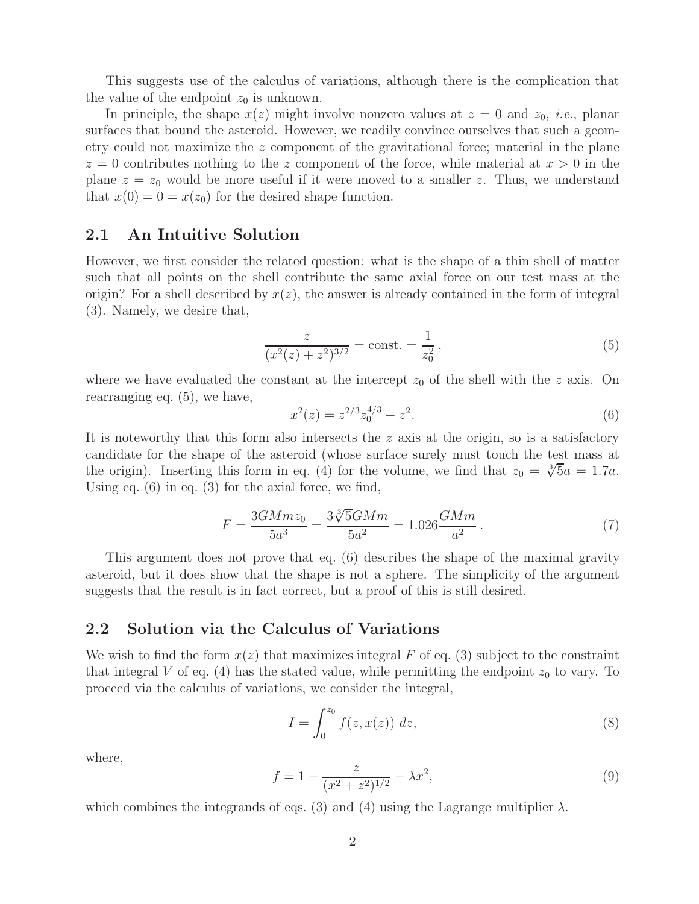This suggests use of the calculus of variations, although there is the complication that the value of the endpoint  $z_0$  is unknown.

In principle, the shape  $x(z)$  might involve nonzero values at  $z = 0$  and  $z_0$ , *i.e.*, planar surfaces that bound the asteroid. However, we readily convince ourselves that such a geometry could not maximize the z component of the gravitational force; material in the plane  $z = 0$  contributes nothing to the z component of the force, while material at  $x > 0$  in the plane  $z = z_0$  would be more useful if it were moved to a smaller z. Thus, we understand that  $x(0) = 0 = x(z_0)$  for the desired shape function.

### **2.1 An Intuitive Solution**

However, we first consider the related question: what is the shape of a thin shell of matter such that all points on the shell contribute the same axial force on our test mass at the origin? For a shell described by  $x(z)$ , the answer is already contained in the form of integral (3). Namely, we desire that,

$$
\frac{z}{(x^2(z) + z^2)^{3/2}} = \text{const.} = \frac{1}{z_0^2},\tag{5}
$$

where we have evaluated the constant at the intercept  $z_0$  of the shell with the z axis. On rearranging eq. (5), we have,

$$
x^2(z) = z^{2/3} z_0^{4/3} - z^2.
$$
 (6)

It is noteworthy that this form also intersects the z axis at the origin, so is a satisfactory candidate for the shape of the asteroid (whose surface surely must touch the test mass at the origin). Inserting this form in eq. (4) for the volume, we find that  $z_0 = \sqrt[3]{5}a = 1.7a$ . Using eq. (6) in eq. (3) for the axial force, we find,

$$
F = \frac{3GMm z_0}{5a^3} = \frac{3\sqrt[3]{5GMm}}{5a^2} = 1.026 \frac{GMm}{a^2} \,. \tag{7}
$$

This argument does not prove that eq. (6) describes the shape of the maximal gravity asteroid, but it does show that the shape is not a sphere. The simplicity of the argument suggests that the result is in fact correct, but a proof of this is still desired.

#### **2.2 Solution via the Calculus of Variations**

We wish to find the form  $x(z)$  that maximizes integral F of eq. (3) subject to the constraint that integral V of eq. (4) has the stated value, while permitting the endpoint  $z_0$  to vary. To proceed via the calculus of variations, we consider the integral,

$$
I = \int_0^{z_0} f(z, x(z)) \, dz,\tag{8}
$$

where,

$$
f = 1 - \frac{z}{(x^2 + z^2)^{1/2}} - \lambda x^2,
$$
\n(9)

which combines the integrands of eqs. (3) and (4) using the Lagrange multiplier  $\lambda$ .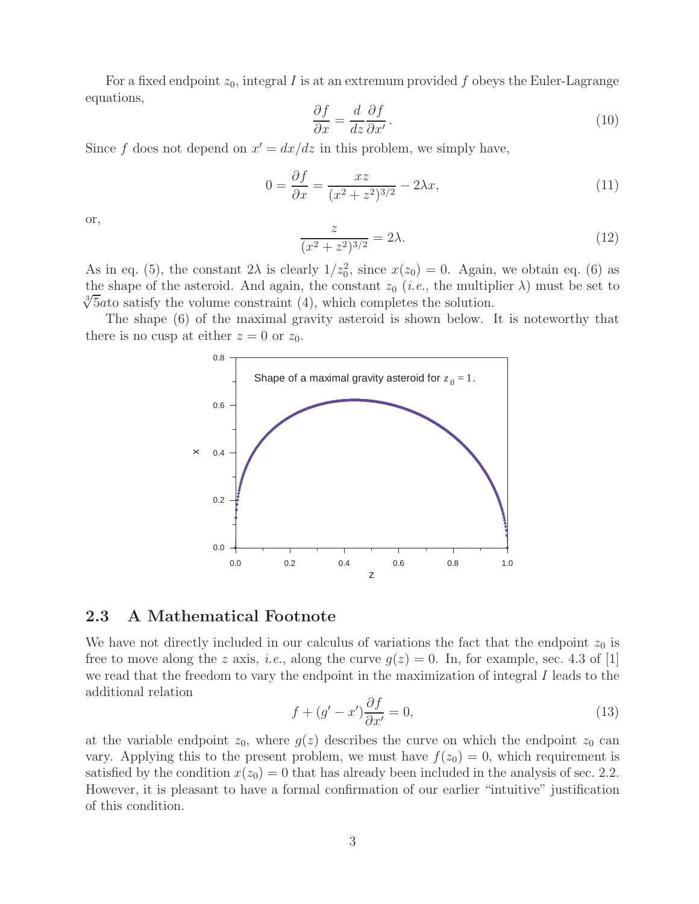For a fixed endpoint  $z_0$ , integral I is at an extremum provided f obeys the Euler-Lagrange equations,

$$
\frac{\partial f}{\partial x} = \frac{d}{dz} \frac{\partial f}{\partial x'}.
$$
\n(10)

Since f does not depend on  $x' = dx/dz$  in this problem, we simply have,

$$
0 = \frac{\partial f}{\partial x} = \frac{xz}{(x^2 + z^2)^{3/2}} - 2\lambda x,\tag{11}
$$

or,

$$
\frac{z}{(x^2 + z^2)^{3/2}} = 2\lambda.
$$
 (12)

As in eq. (5), the constant  $2\lambda$  is clearly  $1/z_0^2$ , since  $x(z_0) = 0$ . Again, we obtain eq. (6) as the shape of the asteroid. And again, the constant  $z_0$  (*i.e.*, the multiplier  $\lambda$ ) must be set to  $\sqrt[3]{5}$ ato satisfy the volume constraint (4), which completes the solution.

The shape (6) of the maximal gravity asteroid is shown below. It is noteworthy that there is no cusp at either  $z = 0$  or  $z_0$ .



#### **2.3 A Mathematical Footnote**

We have not directly included in our calculus of variations the fact that the endpoint  $z_0$  is free to move along the z axis, *i.e.*, along the curve  $g(z) = 0$ . In, for example, sec. 4.3 of [1] we read that the freedom to vary the endpoint in the maximization of integral I leads to the additional relation

$$
f + (g' - x')\frac{\partial f}{\partial x'} = 0,\tag{13}
$$

at the variable endpoint  $z_0$ , where  $g(z)$  describes the curve on which the endpoint  $z_0$  can vary. Applying this to the present problem, we must have  $f(z_0) = 0$ , which requirement is satisfied by the condition  $x(z_0) = 0$  that has already been included in the analysis of sec. 2.2. However, it is pleasant to have a formal confirmation of our earlier "intuitive" justification of this condition.